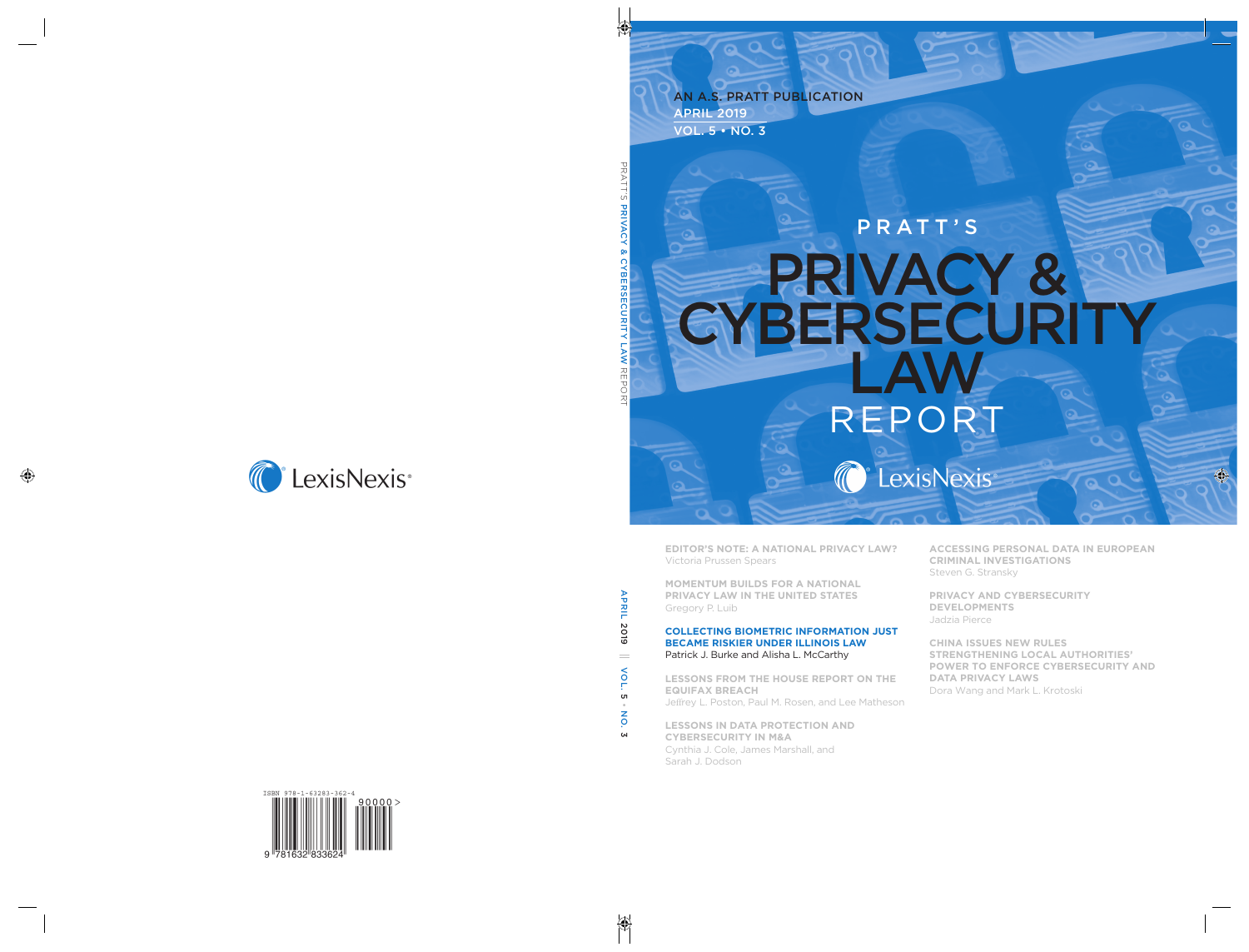## APRIL 2019 VOL. 5 • NO. 3 AN A.S. PRATT PUBLICATION

# PRATT'S PRIVACY & **CYBERSECURITY** LAW REPORT C LexisNexis

**EDITOR'S NOTE: A NATIONAL PRIVACY LAW?** Victoria Prussen Spears

**MOMENTUM BUILDS FOR A NATIONAL PRIVACY LAW IN THE UNITED STATES**  Gregory P. Luib

#### **COLLECTING BIOMETRIC INFORMATION JUST BECAME RISKIER UNDER ILLINOIS LAW** Patrick J. Burke and Alisha L. McCarthy

**LESSONS FROM THE HOUSE REPORT ON THE EQUIFAX BREACH** Jeffrey L. Poston, Paul M. Rosen, and Lee Matheson

**LESSONS IN DATA PROTECTION AND CYBERSECURITY IN M&A** Cynthia J. Cole, James Marshall, and Sarah J. Dodson

**ACCESSING PERSONAL DATA IN EUROPEAN CRIMINAL INVESTIGATIONS** Steven G. Stransky

**PRIVACY AND CYBERSECURITY DEVELOPMENTS** Jadzia Pierce

**CHINA ISSUES NEW RULES STRENGTHENING LOCAL AUTHORITIES' POWER TO ENFORCE CYBERSECURITY AND DATA PRIVACY LAWS**  Dora Wang and Mark L. Krotoski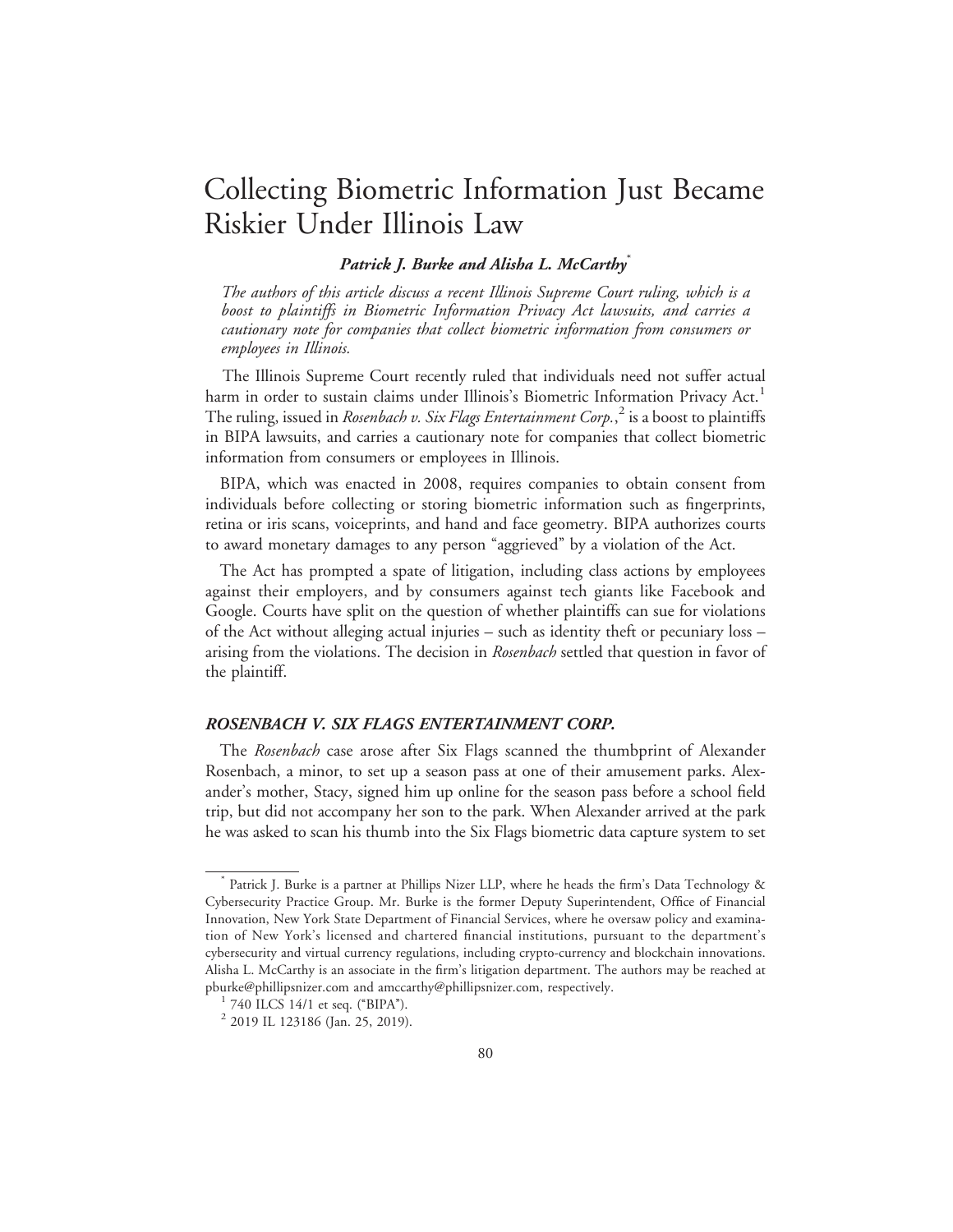# Collecting Biometric Information Just Became Riskier Under Illinois Law

### Patrick J. Burke and Alisha L. McCarthy<sup>\*</sup>

The authors of this article discuss a recent Illinois Supreme Court ruling, which is a boost to plaintiffs in Biometric Information Privacy Act lawsuits, and carries a cautionary note for companies that collect biometric information from consumers or employees in Illinois.

The Illinois Supreme Court recently ruled that individuals need not suffer actual harm in order to sustain claims under Illinois's Biometric Information Privacy Act.<sup>1</sup> The ruling, issued in *Rosenbach v. Six Flags Entertainment Corp.*,<sup>2</sup> is a boost to plaintiffs in BIPA lawsuits, and carries a cautionary note for companies that collect biometric information from consumers or employees in Illinois.

BIPA, which was enacted in 2008, requires companies to obtain consent from individuals before collecting or storing biometric information such as fingerprints, retina or iris scans, voiceprints, and hand and face geometry. BIPA authorizes courts to award monetary damages to any person "aggrieved" by a violation of the Act.

The Act has prompted a spate of litigation, including class actions by employees against their employers, and by consumers against tech giants like Facebook and Google. Courts have split on the question of whether plaintiffs can sue for violations of the Act without alleging actual injuries – such as identity theft or pecuniary loss – arising from the violations. The decision in Rosenbach settled that question in favor of the plaintiff.

### ROSENBACH V. SIX FLAGS ENTERTAINMENT CORP.

The Rosenbach case arose after Six Flags scanned the thumbprint of Alexander Rosenbach, a minor, to set up a season pass at one of their amusement parks. Alexander's mother, Stacy, signed him up online for the season pass before a school field trip, but did not accompany her son to the park. When Alexander arrived at the park he was asked to scan his thumb into the Six Flags biometric data capture system to set

<sup>\*</sup> Patrick J. Burke is a partner at Phillips Nizer LLP, where he heads the firm's Data Technology & Cybersecurity Practice Group. Mr. Burke is the former Deputy Superintendent, Office of Financial Innovation, New York State Department of Financial Services, where he oversaw policy and examination of New York's licensed and chartered financial institutions, pursuant to the department's cybersecurity and virtual currency regulations, including crypto-currency and blockchain innovations. Alisha L. McCarthy is an associate in the firm's litigation department. The authors may be reached at pburke@phillipsnizer.com and amccarthy@phillipsnizer.com, respectively.<br><sup>1</sup> 740 ILCS 14/1 et seq. ("BIPA").

<sup>2</sup> 2019 IL 123186 (Jan. 25, 2019).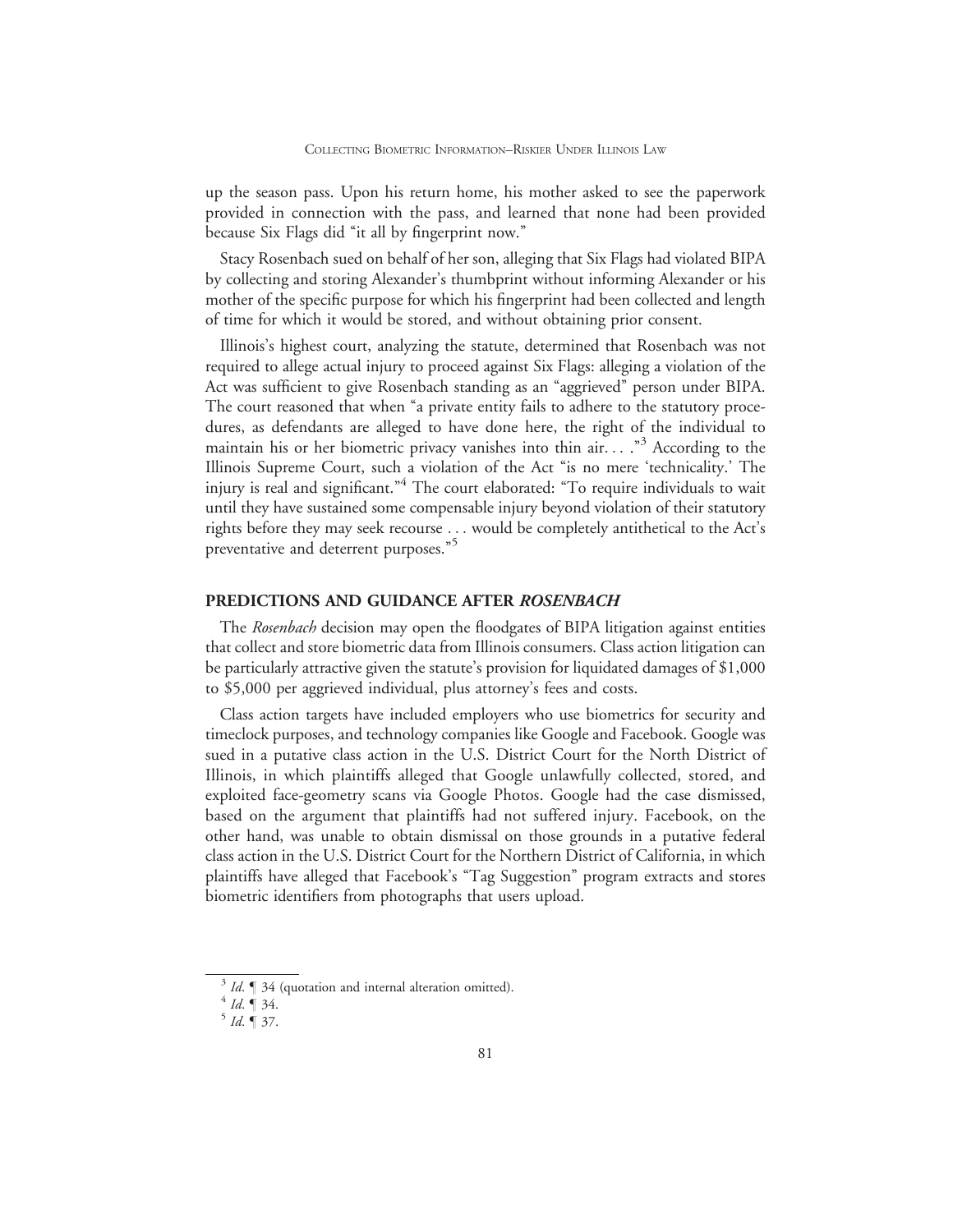up the season pass. Upon his return home, his mother asked to see the paperwork provided in connection with the pass, and learned that none had been provided because Six Flags did "it all by fingerprint now."

Stacy Rosenbach sued on behalf of her son, alleging that Six Flags had violated BIPA by collecting and storing Alexander's thumbprint without informing Alexander or his mother of the specific purpose for which his fingerprint had been collected and length of time for which it would be stored, and without obtaining prior consent.

Illinois's highest court, analyzing the statute, determined that Rosenbach was not required to allege actual injury to proceed against Six Flags: alleging a violation of the Act was sufficient to give Rosenbach standing as an ''aggrieved'' person under BIPA. The court reasoned that when "a private entity fails to adhere to the statutory procedures, as defendants are alleged to have done here, the right of the individual to maintain his or her biometric privacy vanishes into thin air...  $.^{3}$  According to the Illinois Supreme Court, such a violation of the Act ''is no mere 'technicality.' The injury is real and significant."<sup>4</sup> The court elaborated: "To require individuals to wait until they have sustained some compensable injury beyond violation of their statutory rights before they may seek recourse ... would be completely antithetical to the Act's preventative and deterrent purposes."<sup>5</sup>

### PREDICTIONS AND GUIDANCE AFTER ROSENBACH

The Rosenbach decision may open the floodgates of BIPA litigation against entities that collect and store biometric data from Illinois consumers. Class action litigation can be particularly attractive given the statute's provision for liquidated damages of \$1,000 to \$5,000 per aggrieved individual, plus attorney's fees and costs.

Class action targets have included employers who use biometrics for security and timeclock purposes, and technology companies like Google and Facebook. Google was sued in a putative class action in the U.S. District Court for the North District of Illinois, in which plaintiffs alleged that Google unlawfully collected, stored, and exploited face-geometry scans via Google Photos. Google had the case dismissed, based on the argument that plaintiffs had not suffered injury. Facebook, on the other hand, was unable to obtain dismissal on those grounds in a putative federal class action in the U.S. District Court for the Northern District of California, in which plaintiffs have alleged that Facebook's ''Tag Suggestion'' program extracts and stores biometric identifiers from photographs that users upload.

<sup>&</sup>lt;sup>3</sup> Id.  $\parallel$  34 (quotation and internal alteration omitted).<br><sup>4</sup> Id.  $\parallel$  34.<br><sup>5</sup> Id.  $\parallel$  37.